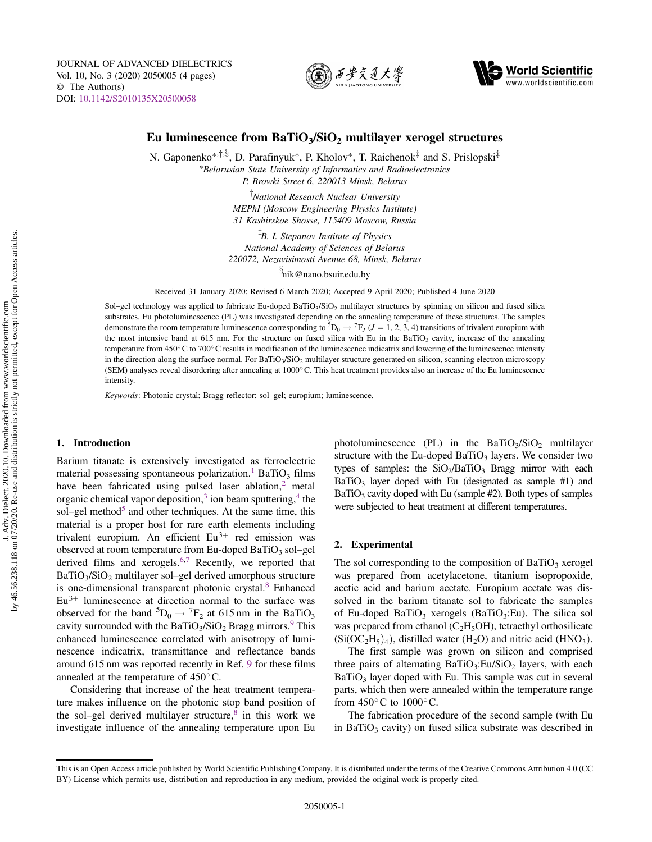



# Eu luminescence from BaTiO<sub>3</sub>/SiO<sub>2</sub> multilayer xerogel structures

N. Gaponenko\*,  $\ddot{a}$ ,  $\ddot{b}$ , D. Parafinyuk\*, P. Kholov\*, T. Raichenok $\ddot{a}$  and S. Prislopski<sup> $\ddagger$ </sup> \*Belarusian State University of Informatics and Radioelectronics P. Browki Street 6, 220013 Minsk, Belarus

> <sup>T</sup>National Research Nuclear University MEPhI (Moscow Engineering Physics Institute) 31 Kashirskoe Shosse, 115409 Moscow, Russia

<sup>‡</sup>B. I. Stepanov Institute of Physics National Academy of Sciences of Belarus 220072, Nezavisimosti Avenue 68, Minsk, Belarus

<sup>§</sup>nik@nano.bsuir.edu.by

Received 31 January 2020; Revised 6 March 2020; Accepted 9 April 2020; Published 4 June 2020

Sol–gel technology was applied to fabricate Eu-doped BaTiO<sub>3</sub>/SiO<sub>2</sub> multilayer structures by spinning on silicon and fused silica substrates. Eu photoluminescence (PL) was investigated depending on the annealing temperature of these structures. The samples demonstrate the room temperature luminescence corresponding to  ${}^5D_0 \rightarrow {}^7F_J$  ( $J = 1, 2, 3, 4$ ) transitions of trivalent europium with the most intensive band at 615 nm. For the structure on fused silica with Eu in the BaTiO<sub>3</sub> cavity, increase of the annealing temperature from 450○C to 700○C results in modification of the luminescence indicatrix and lowering of the luminescence intensity in the direction along the surface normal. For BaTiO<sub>3</sub>/SiO<sub>2</sub> multilayer structure generated on silicon, scanning electron microscopy (SEM) analyses reveal disordering after annealing at 1000○C. This heat treatment provides also an increase of the Eu luminescence intensity

Keywords: Photonic crystal; Bragg reflector; sol–gel; europium; luminescence.

# 1. Introduction

Barium titanate is extensively investigated as ferroelectric material possessing spontaneous polarization.<sup>[1](#page-3-0)</sup> BaTiO<sub>3</sub> films have been fabricated using pulsed laser ablation, $2$  metal organic chemical vapor deposition,<sup>[3](#page-3-0)</sup> ion beam sputtering,<sup>[4](#page-3-0)</sup> the sol–gel method $<sup>5</sup>$  $<sup>5</sup>$  $<sup>5</sup>$  and other techniques. At the same time, this</sup> material is a proper host for rare earth elements including trivalent europium. An efficient  $Eu^{3+}$  red emission was observed at room temperature from Eu-doped BaTiO<sub>3</sub> sol–gel derived films and xerogels.<sup>[6,7](#page-3-0)</sup> Recently, we reported that BaTiO3/SiO2 multilayer sol–gel derived amorphous structure is one-dimensional transparent photonic crystal.<sup>8</sup> Enhanced  $Eu<sup>3+</sup>$  luminescence at direction normal to the surface was observed for the band  ${}^5D_0 \rightarrow {}^7F_2$  at 615 nm in the BaTiO<sub>3</sub> cavity surrounded with the BaTiO<sub>3</sub>/SiO<sub>2</sub> Bragg mirrors.<sup>[9](#page-3-0)</sup> This enhanced luminescence correlated with anisotropy of luminescence indicatrix, transmittance and reflectance bands around 615 nm was reported recently in Ref. [9](#page-3-0) for these films annealed at the temperature of 450○C.

Considering that increase of the heat treatment temperature makes influence on the photonic stop band position of the sol–gel derived multilayer structure, $8$  in this work we investigate influence of the annealing temperature upon Eu photoluminescence (PL) in the BaTiO<sub>3</sub>/SiO<sub>2</sub> multilayer structure with the Eu-doped BaTiO<sub>3</sub> layers. We consider two types of samples: the  $SiO<sub>2</sub>/BaTiO<sub>3</sub>$  Bragg mirror with each  $BaTiO<sub>3</sub>$  layer doped with Eu (designated as sample #1) and  $BaTiO<sub>3</sub>$  cavity doped with Eu (sample #2). Both types of samples were subjected to heat treatment at different temperatures.

## 2. Experimental

The sol corresponding to the composition of  $BaTiO<sub>3</sub>$  xerogel was prepared from acetylacetone, titanium isopropoxide, acetic acid and barium acetate. Europium acetate was dissolved in the barium titanate sol to fabricate the samples of Eu-doped BaTiO<sub>3</sub> xerogels (BaTiO<sub>3</sub>:Eu). The silica sol was prepared from ethanol  $(C_2H_5OH)$ , tetraethyl orthosilicate  $(Si(OC<sub>2</sub>H<sub>5</sub>)<sub>4</sub>)$ , distilled water  $(H<sub>2</sub>O)$  and nitric acid  $(HNO<sub>3</sub>)$ .

The first sample was grown on silicon and comprised three pairs of alternating  $BaTiO<sub>3</sub>:Eu/SiO<sub>2</sub>$  layers, with each BaTiO<sub>3</sub> layer doped with Eu. This sample was cut in several parts, which then were annealed within the temperature range from  $450^{\circ}$ C to  $1000^{\circ}$ C.

The fabrication procedure of the second sample (with Eu in BaTiO<sub>3</sub> cavity) on fused silica substrate was described in

This is an Open Access article published by World Scientific Publishing Company. It is distributed under the terms of the Creative Commons Attribution 4.0 (CC BY) License which permits use, distribution and reproduction in any medium, provided the original work is properly cited.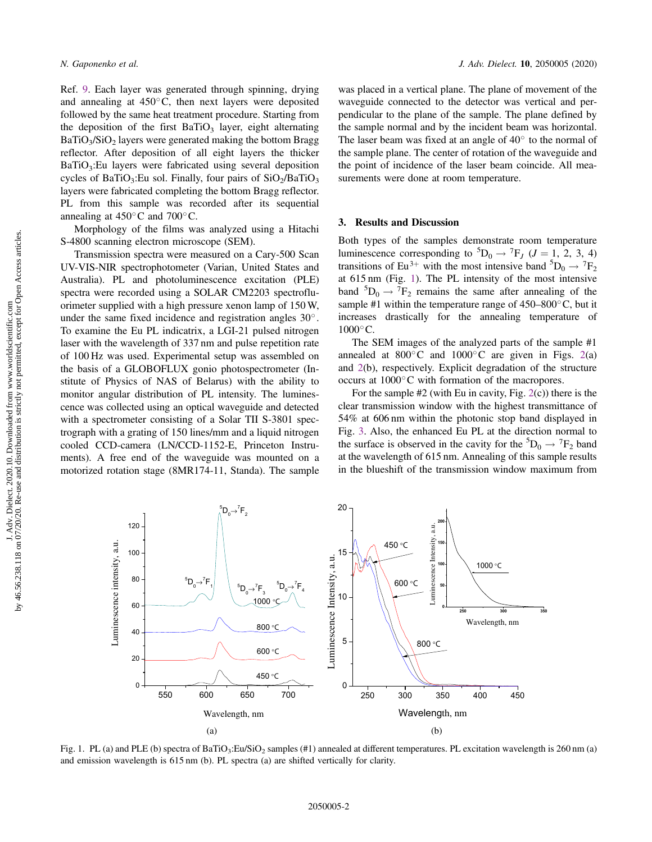Ref. [9.](#page-3-0) Each layer was generated through spinning, drying and annealing at  $450^{\circ}$ C, then next layers were deposited followed by the same heat treatment procedure. Starting from the deposition of the first  $BaTiO<sub>3</sub>$  layer, eight alternating  $BaTiO<sub>3</sub>/SiO<sub>2</sub>$  layers were generated making the bottom Bragg reflector. After deposition of all eight layers the thicker  $BaTiO<sub>3</sub>:Eu$  layers were fabricated using several deposition cycles of BaTiO<sub>3</sub>:Eu sol. Finally, four pairs of  $SiO<sub>2</sub>/BaTiO<sub>3</sub>$ layers were fabricated completing the bottom Bragg reflector. PL from this sample was recorded after its sequential annealing at  $450^{\circ}$ C and  $700^{\circ}$ C.

Morphology of the films was analyzed using a Hitachi S-4800 scanning electron microscope (SEM).

Transmission spectra were measured on a Cary-500 Scan UV-VIS-NIR spectrophotometer (Varian, United States and Australia). PL and photoluminescence excitation (PLE) spectra were recorded using a SOLAR CM2203 spectrofluorimeter supplied with a high pressure xenon lamp of 150 W, under the same fixed incidence and registration angles 30°. To examine the Eu PL indicatrix, a LGI-21 pulsed nitrogen laser with the wavelength of 337 nm and pulse repetition rate of 100 Hz was used. Experimental setup was assembled on the basis of a GLOBOFLUX gonio photospectrometer (Institute of Physics of NAS of Belarus) with the ability to monitor angular distribution of PL intensity. The luminescence was collected using an optical waveguide and detected with a spectrometer consisting of a Solar TII S-3801 spectrograph with a grating of 150 lines/mm and a liquid nitrogen cooled CCD-camera (LN/CCD-1152-E, Princeton Instruments). A free end of the waveguide was mounted on a motorized rotation stage (8MR174-11, Standa). The sample was placed in a vertical plane. The plane of movement of the waveguide connected to the detector was vertical and perpendicular to the plane of the sample. The plane defined by the sample normal and by the incident beam was horizontal. The laser beam was fixed at an angle of  $40^{\circ}$  to the normal of the sample plane. The center of rotation of the waveguide and the point of incidence of the laser beam coincide. All measurements were done at room temperature.

#### 3. Results and Discussion

Both types of the samples demonstrate room temperature luminescence corresponding to  ${}^5D_0 \rightarrow {}^7F_J$  ( $J = 1, 2, 3, 4$ ) transitions of Eu<sup>3+</sup> with the most intensive band  ${}^{5}D_0 \rightarrow {}^{7}F_2$ at 615 nm (Fig. 1). The PL intensity of the most intensive band  ${}^5D_0 \rightarrow {}^7F_2$  remains the same after annealing of the sample #1 within the temperature range of  $450-800^{\circ}$ C, but it increases drastically for the annealing temperature of  $1000^{\circ}$ C.

The SEM images of the analyzed parts of the sample #1 annealed at 800 $^{\circ}$ C and 1000 $^{\circ}$ C are given in Figs. [2](#page-2-0)(a) and [2\(](#page-2-0)b), respectively. Explicit degradation of the structure occurs at 1000○C with formation of the macropores.

For the sample  $#2$  (with Eu in cavity, Fig.  $2(c)$  $2(c)$ ) there is the clear transmission window with the highest transmittance of 54% at 606 nm within the photonic stop band displayed in Fig. [3](#page-2-0). Also, the enhanced Eu PL at the direction normal to the surface is observed in the cavity for the  ${}^5D_0 \rightarrow {}^7F_2$  band at the wavelength of 615 nm. Annealing of this sample results in the blueshift of the transmission window maximum from



Fig. 1. PL (a) and PLE (b) spectra of BaTiO<sub>3</sub>:Eu/SiO<sub>2</sub> samples (#1) annealed at different temperatures. PL excitation wavelength is 260 nm (a) and emission wavelength is 615 nm (b). PL spectra (a) are shifted vertically for clarity.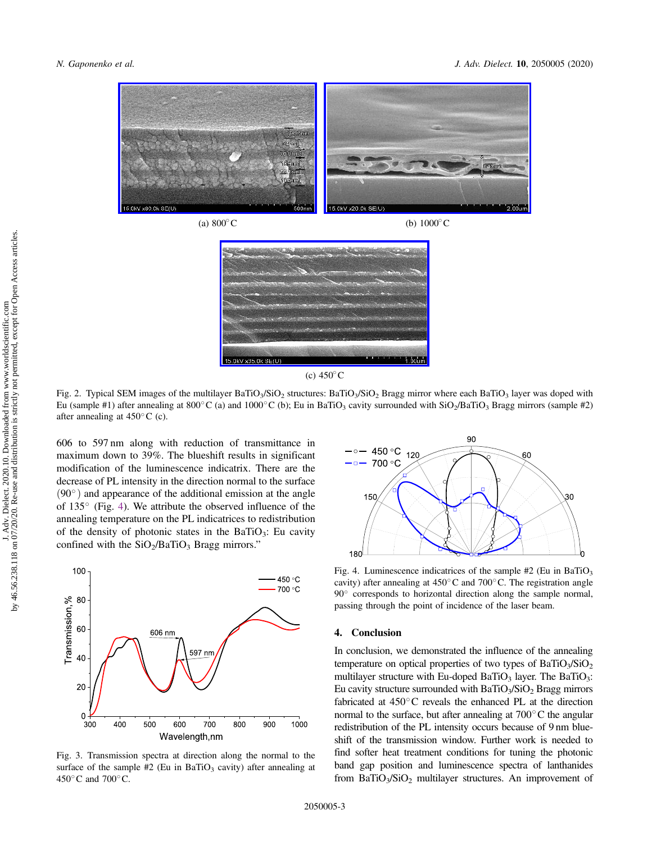<span id="page-2-0"></span>



(c)  $450^{\circ}$  C

Fig. 2. Typical SEM images of the multilayer BaTiO<sub>3</sub>/SiO<sub>2</sub> structures: BaTiO<sub>3</sub>/SiO<sub>2</sub> Bragg mirror where each BaTiO<sub>3</sub> layer was doped with Eu (sample #1) after annealing at 800 $^{\circ}$ C (a) and 1000 $^{\circ}$ C (b); Eu in BaTiO<sub>3</sub> cavity surrounded with SiO<sub>2</sub>/BaTiO<sub>3</sub> Bragg mirrors (sample #2) after annealing at  $450^{\circ}$ C (c).

606 to 597 nm along with reduction of transmittance in maximum down to 39%. The blueshift results in significant modification of the luminescence indicatrix. There are the decrease of PL intensity in the direction normal to the surface  $(90^{\circ})$  and appearance of the additional emission at the angle of  $135^{\circ}$  (Fig. 4). We attribute the observed influence of the annealing temperature on the PL indicatrices to redistribution of the density of photonic states in the BaTiO<sub>3</sub>: Eu cavity confined with the  $SiO<sub>2</sub>/BaTiO<sub>3</sub>$  Bragg mirrors."



Fig. 3. Transmission spectra at direction along the normal to the surface of the sample  $#2$  (Eu in BaTiO<sub>3</sub> cavity) after annealing at 450○C and 700○C.



Fig. 4. Luminescence indicatrices of the sample  $#2$  (Eu in BaTiO<sub>3</sub> cavity) after annealing at 450○C and 700○C. The registration angle 90° corresponds to horizontal direction along the sample normal, passing through the point of incidence of the laser beam.

### 4. Conclusion

In conclusion, we demonstrated the influence of the annealing temperature on optical properties of two types of  $BaTiO<sub>3</sub>/SiO<sub>2</sub>$ multilayer structure with Eu-doped BaTiO<sub>3</sub> layer. The BaTiO<sub>3</sub>: Eu cavity structure surrounded with  $BaTiO<sub>3</sub>/SiO<sub>2</sub>$  Bragg mirrors fabricated at 450°C reveals the enhanced PL at the direction normal to the surface, but after annealing at  $700^{\circ}$ C the angular redistribution of the PL intensity occurs because of 9 nm blueshift of the transmission window. Further work is needed to find softer heat treatment conditions for tuning the photonic band gap position and luminescence spectra of lanthanides from BaTiO<sub>3</sub>/SiO<sub>2</sub> multilayer structures. An improvement of